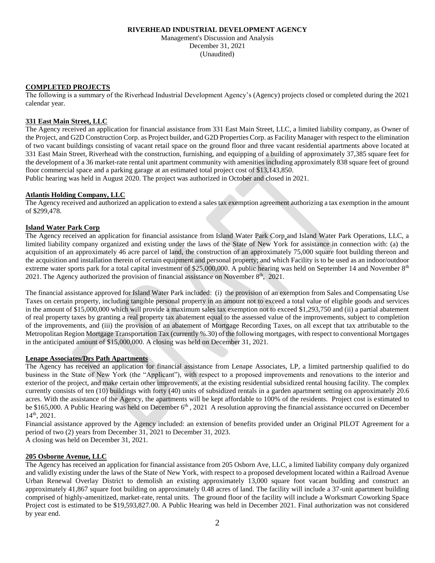## **RIVERHEAD INDUSTRIAL DEVELOPMENT AGENCY**

Management's Discussion and Analysis December 31, 2021 (Unaudited)

## **COMPLETED PROJECTS**

The following is a summary of the Riverhead Industrial Development Agency's (Agency) projects closed or completed during the 2021 calendar year.

## **331 East Main Street, LLC**

The Agency received an application for financial assistance from 331 East Main Street, LLC, a limited liability company, as Owner of the Project, and G2D Construction Corp. as Project builder, and G2D Properties Corp. as Facility Manager with respect to the elimination of two vacant buildings consisting of vacant retail space on the ground floor and three vacant residential apartments above located at 331 East Main Street, Riverhead with the construction, furnishing, and equipping of a building of approximately 37,385 square feet for the development of a 36 market-rate rental unit apartment community with amenities including approximately 838 square feet of ground floor commercial space and a parking garage at an estimated total project cost of \$13,143,850.

Public hearing was held in August 2020. The project was authorized in October and closed in 2021.

#### **Atlantis Holding Company, LLC**

The Agency received and authorized an application to extend a sales tax exemption agreement authorizing a tax exemption in the amount of \$299,478.

#### **Island Water Park Corp**

The Agency received an application for financial assistance from Island Water Park Corp and Island Water Park Operations, LLC, a limited liability company organized and existing under the laws of the State of New York for assistance in connection with: (a) the acquisition of an approximately 46 acre parcel of land, the construction of an approximately 75,000 square foot building thereon and the acquisition and installation therein of certain equipment and personal property; and which Facility is to be used as an indoor/outdoor extreme water sports park for a total capital investment of \$25,000,000. A public hearing was held on September 14 and November  $8<sup>th</sup>$ 2021. The Agency authorized the provision of financial assistance on November  $8<sup>th</sup>$ , 2021.

The financial assistance approved for Island Water Park included: (i) the provision of an exemption from Sales and Compensating Use Taxes on certain property, including tangible personal property in an amount not to exceed a total value of eligible goods and services in the amount of \$15,000,000 which will provide a maximum sales tax exemption not to exceed \$1,293,750 and (ii) a partial abatement of real property taxes by granting a real property tax abatement equal to the assessed value of the improvements, subject to completion of the improvements, and (iii) the provision of an abatement of Mortgage Recording Taxes, on all except that tax attributable to the Metropolitan Region Mortgage Transportation Tax (currently %.30) of the following mortgages, with respect to conventional Mortgages in the anticipated amount of \$15,000,000. A closing was held on December 31, 2021.

#### **Lenape Associates/Drs Path Apartments**

The Agency has received an application for financial assistance from Lenape Associates, LP, a limited partnership qualified to do business in the State of New York (the "Applicant"), with respect to a proposed improvements and renovations to the interior and exterior of the project, and make certain other improvements, at the existing residential subsidized rental housing facility. The complex currently consists of ten (10) buildings with forty (40) units of subsidized rentals in a garden apartment setting on approximately 20.6 acres. With the assistance of the Agency, the apartments will be kept affordable to 100% of the residents. Project cost is estimated to be \$165,000. A Public Hearing was held on December  $6<sup>th</sup>$ , 2021 A resolution approving the financial assistance occurred on December 14th, 2021.

Financial assistance approved by the Agency included: an extension of benefits provided under an Original PILOT Agreement for a period of two (2) years from December 31, 2021 to December 31, 2023.

A closing was held on December 31, 2021.

# **205 Osborne Avenue, LLC**

The Agency has received an application for financial assistance from 205 Osborn Ave, LLC, a limited liability company duly organized and validly existing under the laws of the State of New York, with respect to a proposed development located within a Railroad Avenue Urban Renewal Overlay District to demolish an existing approximately 13,000 square foot vacant building and construct an approximately 41,867 square foot building on approximately 0.48 acres of land. The facility will include a 37-unit apartment building comprised of highly-amenitized, market-rate, rental units. The ground floor of the facility will include a Worksmart Coworking Space Project cost is estimated to be \$19,593,827.00. A Public Hearing was held in December 2021. Final authorization was not considered by year end.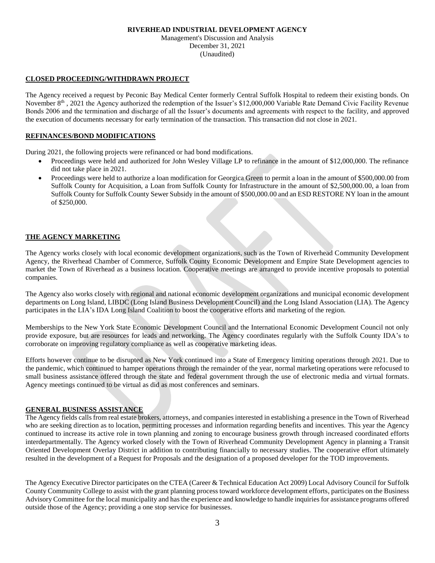#### **RIVERHEAD INDUSTRIAL DEVELOPMENT AGENCY**

Management's Discussion and Analysis December 31, 2021 (Unaudited)

## **CLOSED PROCEEDING/WITHDRAWN PROJECT**

The Agency received a request by Peconic Bay Medical Center formerly Central Suffolk Hospital to redeem their existing bonds. On November 8<sup>th</sup>, 2021 the Agency authorized the redemption of the Issuer's \$12,000,000 Variable Rate Demand Civic Facility Revenue Bonds 2006 and the termination and discharge of all the Issuer's documents and agreements with respect to the facility, and approved the execution of documents necessary for early termination of the transaction. This transaction did not close in 2021.

## **REFINANCES/BOND MODIFICATIONS**

During 2021, the following projects were refinanced or had bond modifications.

- Proceedings were held and authorized for John Wesley Village LP to refinance in the amount of \$12,000,000. The refinance did not take place in 2021.
- Proceedings were held to authorize a loan modification for Georgica Green to permit a loan in the amount of \$500,000.00 from Suffolk County for Acquisition, a Loan from Suffolk County for Infrastructure in the amount of \$2,500,000.00, a loan from Suffolk County for Suffolk County Sewer Subsidy in the amount of \$500,000.00 and an ESD RESTORE NY loan in the amount of \$250,000.

# **THE AGENCY MARKETING**

The Agency works closely with local economic development organizations, such as the Town of Riverhead Community Development Agency, the Riverhead Chamber of Commerce, Suffolk County Economic Development and Empire State Development agencies to market the Town of Riverhead as a business location. Cooperative meetings are arranged to provide incentive proposals to potential companies.

The Agency also works closely with regional and national economic development organizations and municipal economic development departments on Long Island, LIBDC (Long Island Business Development Council) and the Long Island Association (LIA). The Agency participates in the LIA's IDA Long Island Coalition to boost the cooperative efforts and marketing of the region.

Memberships to the New York State Economic Development Council and the International Economic Development Council not only provide exposure, but are resources for leads and networking. The Agency coordinates regularly with the Suffolk County IDA's to corroborate on improving regulatory compliance as well as cooperative marketing ideas.

Efforts however continue to be disrupted as New York continued into a State of Emergency limiting operations through 2021. Due to the pandemic, which continued to hamper operations through the remainder of the year, normal marketing operations were refocused to small business assistance offered through the state and federal government through the use of electronic media and virtual formats. Agency meetings continued to be virtual as did as most conferences and seminars.

#### **GENERAL BUSINESS ASSISTANCE**

The Agency fields calls from real estate brokers, attorneys, and companies interested in establishing a presence in the Town of Riverhead who are seeking direction as to location, permitting processes and information regarding benefits and incentives. This year the Agency continued to increase its active role in town planning and zoning to encourage business growth through increased coordinated efforts interdepartmentally. The Agency worked closely with the Town of Riverhead Community Development Agency in planning a Transit Oriented Development Overlay District in addition to contributing financially to necessary studies. The cooperative effort ultimately resulted in the development of a Request for Proposals and the designation of a proposed developer for the TOD improvements.

The Agency Executive Director participates on the CTEA (Career & Technical Education Act 2009) Local Advisory Council for Suffolk County Community College to assist with the grant planning process toward workforce development efforts, participates on the Business Advisory Committee for the local municipality and has the experience and knowledge to handle inquiries for assistance programs offered outside those of the Agency; providing a one stop service for businesses.